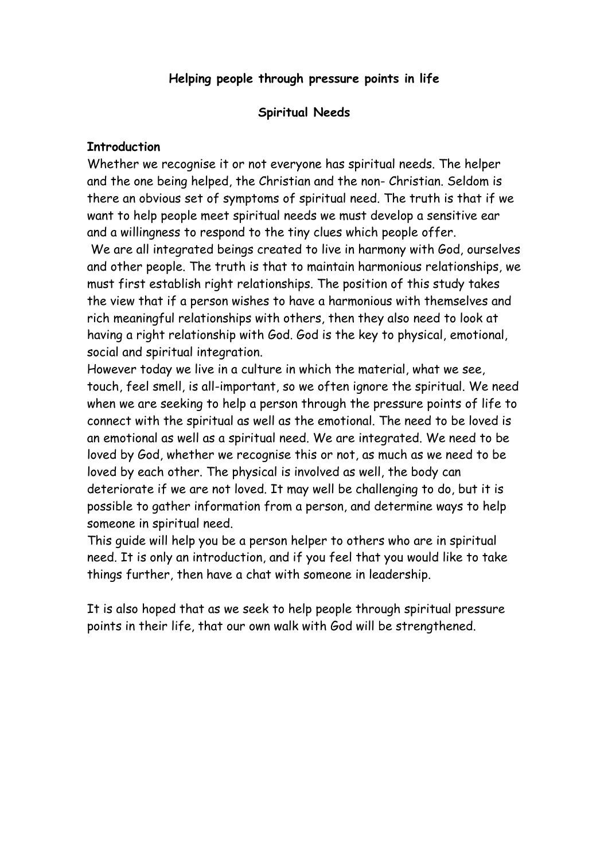### **Helping people through pressure points in life**

#### **Spiritual Needs**

#### **Introduction**

Whether we recognise it or not everyone has spiritual needs. The helper and the one being helped, the Christian and the non- Christian. Seldom is there an obvious set of symptoms of spiritual need. The truth is that if we want to help people meet spiritual needs we must develop a sensitive ear and a willingness to respond to the tiny clues which people offer.

 We are all integrated beings created to live in harmony with God, ourselves and other people. The truth is that to maintain harmonious relationships, we must first establish right relationships. The position of this study takes the view that if a person wishes to have a harmonious with themselves and rich meaningful relationships with others, then they also need to look at having a right relationship with God. God is the key to physical, emotional, social and spiritual integration.

However today we live in a culture in which the material, what we see, touch, feel smell, is all-important, so we often ignore the spiritual. We need when we are seeking to help a person through the pressure points of life to connect with the spiritual as well as the emotional. The need to be loved is an emotional as well as a spiritual need. We are integrated. We need to be loved by God, whether we recognise this or not, as much as we need to be loved by each other. The physical is involved as well, the body can deteriorate if we are not loved. It may well be challenging to do, but it is possible to gather information from a person, and determine ways to help someone in spiritual need.

This guide will help you be a person helper to others who are in spiritual need. It is only an introduction, and if you feel that you would like to take things further, then have a chat with someone in leadership.

It is also hoped that as we seek to help people through spiritual pressure points in their life, that our own walk with God will be strengthened.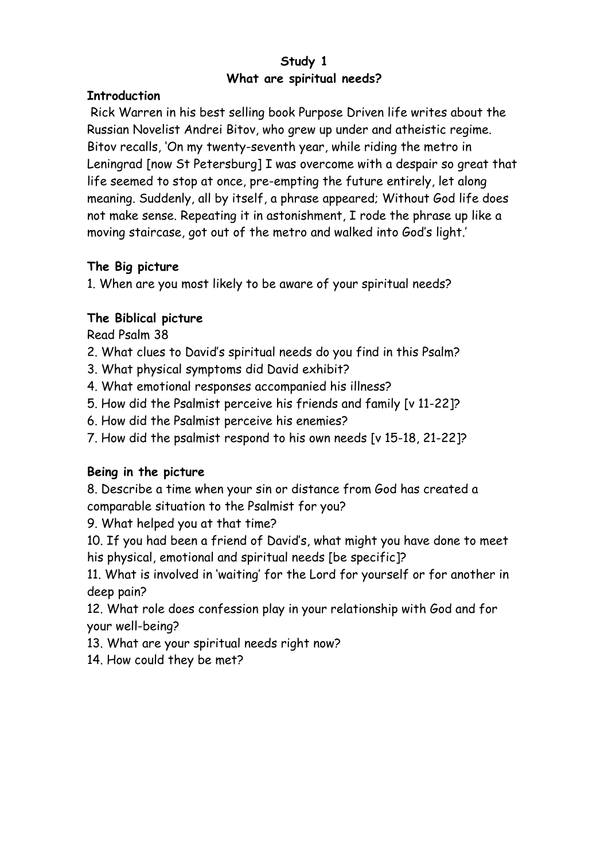# **Study 1 What are spiritual needs?**

#### **Introduction**

 Rick Warren in his best selling book Purpose Driven life writes about the Russian Novelist Andrei Bitov, who grew up under and atheistic regime. Bitov recalls, 'On my twenty-seventh year, while riding the metro in Leningrad [now St Petersburg] I was overcome with a despair so great that life seemed to stop at once, pre-empting the future entirely, let along meaning. Suddenly, all by itself, a phrase appeared; Without God life does not make sense. Repeating it in astonishment, I rode the phrase up like a moving staircase, got out of the metro and walked into God's light.'

# **The Big picture**

1. When are you most likely to be aware of your spiritual needs?

# **The Biblical picture**

Read Psalm 38

- 2. What clues to David's spiritual needs do you find in this Psalm?
- 3. What physical symptoms did David exhibit?
- 4. What emotional responses accompanied his illness?
- 5. How did the Psalmist perceive his friends and family [v 11-22]?
- 6. How did the Psalmist perceive his enemies?
- 7. How did the psalmist respond to his own needs [v 15-18, 21-22]?

### **Being in the picture**

8. Describe a time when your sin or distance from God has created a comparable situation to the Psalmist for you?

9. What helped you at that time?

10. If you had been a friend of David's, what might you have done to meet his physical, emotional and spiritual needs [be specific]?

11. What is involved in 'waiting' for the Lord for yourself or for another in deep pain?

12. What role does confession play in your relationship with God and for your well-being?

13. What are your spiritual needs right now?

14. How could they be met?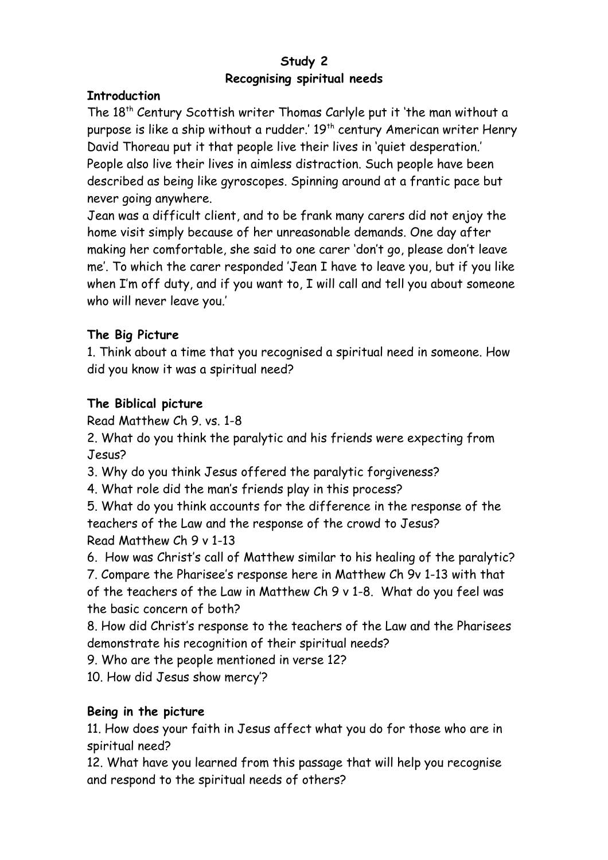# **Study 2 Recognising spiritual needs**

#### **Introduction**

The 18<sup>th</sup> Century Scottish writer Thomas Carlyle put it 'the man without a purpose is like a ship without a rudder.' 19<sup>th</sup> century American writer Henry David Thoreau put it that people live their lives in 'quiet desperation.' People also live their lives in aimless distraction. Such people have been described as being like gyroscopes. Spinning around at a frantic pace but never going anywhere.

Jean was a difficult client, and to be frank many carers did not enjoy the home visit simply because of her unreasonable demands. One day after making her comfortable, she said to one carer 'don't go, please don't leave me'. To which the carer responded 'Jean I have to leave you, but if you like when I'm off duty, and if you want to, I will call and tell you about someone who will never leave you.'

### **The Big Picture**

1. Think about a time that you recognised a spiritual need in someone. How did you know it was a spiritual need?

# **The Biblical picture**

Read Matthew Ch 9. vs. 1-8

2. What do you think the paralytic and his friends were expecting from Jesus?

3. Why do you think Jesus offered the paralytic forgiveness?

4. What role did the man's friends play in this process?

5. What do you think accounts for the difference in the response of the teachers of the Law and the response of the crowd to Jesus? Read Matthew Ch 9 v 1-13

6. How was Christ's call of Matthew similar to his healing of the paralytic?

7. Compare the Pharisee's response here in Matthew Ch 9v 1-13 with that of the teachers of the Law in Matthew Ch 9 v 1-8. What do you feel was the basic concern of both?

8. How did Christ's response to the teachers of the Law and the Pharisees demonstrate his recognition of their spiritual needs?

9. Who are the people mentioned in verse 12?

10. How did Jesus show mercy'?

# **Being in the picture**

11. How does your faith in Jesus affect what you do for those who are in spiritual need?

12. What have you learned from this passage that will help you recognise and respond to the spiritual needs of others?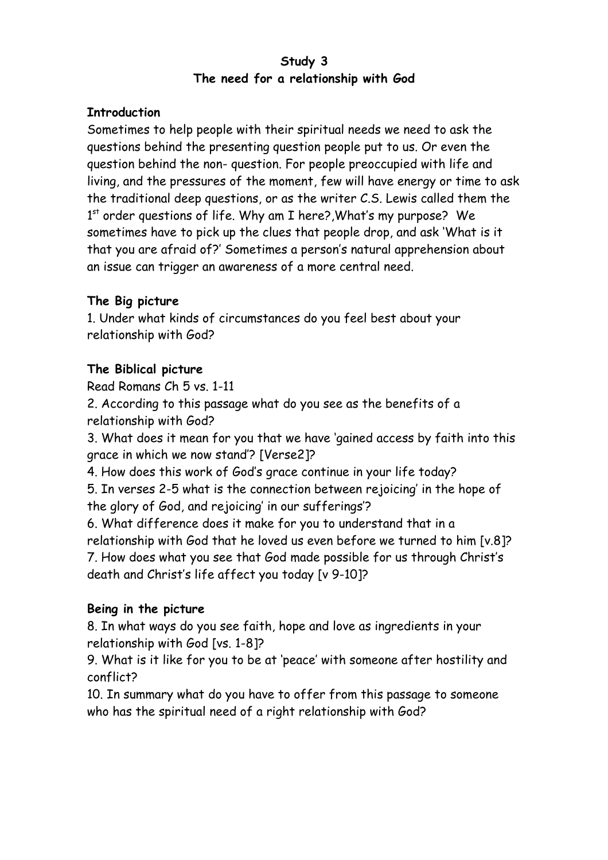### **Study 3 The need for a relationship with God**

### **Introduction**

Sometimes to help people with their spiritual needs we need to ask the questions behind the presenting question people put to us. Or even the question behind the non- question. For people preoccupied with life and living, and the pressures of the moment, few will have energy or time to ask the traditional deep questions, or as the writer C.S. Lewis called them the 1<sup>st</sup> order questions of life. Why am I here?,What's my purpose? We sometimes have to pick up the clues that people drop, and ask 'What is it that you are afraid of?' Sometimes a person's natural apprehension about an issue can trigger an awareness of a more central need.

# **The Big picture**

1. Under what kinds of circumstances do you feel best about your relationship with God?

# **The Biblical picture**

Read Romans Ch 5 vs. 1-11

2. According to this passage what do you see as the benefits of a relationship with God?

3. What does it mean for you that we have 'gained access by faith into this grace in which we now stand'? [Verse2]?

4. How does this work of God's grace continue in your life today?

5. In verses 2-5 what is the connection between rejoicing' in the hope of the glory of God, and rejoicing' in our sufferings'?

6. What difference does it make for you to understand that in a relationship with God that he loved us even before we turned to him [v.8]? 7. How does what you see that God made possible for us through Christ's death and Christ's life affect you today [v 9-10]?

# **Being in the picture**

8. In what ways do you see faith, hope and love as ingredients in your relationship with God [vs. 1-8]?

9. What is it like for you to be at 'peace' with someone after hostility and conflict?

10. In summary what do you have to offer from this passage to someone who has the spiritual need of a right relationship with God?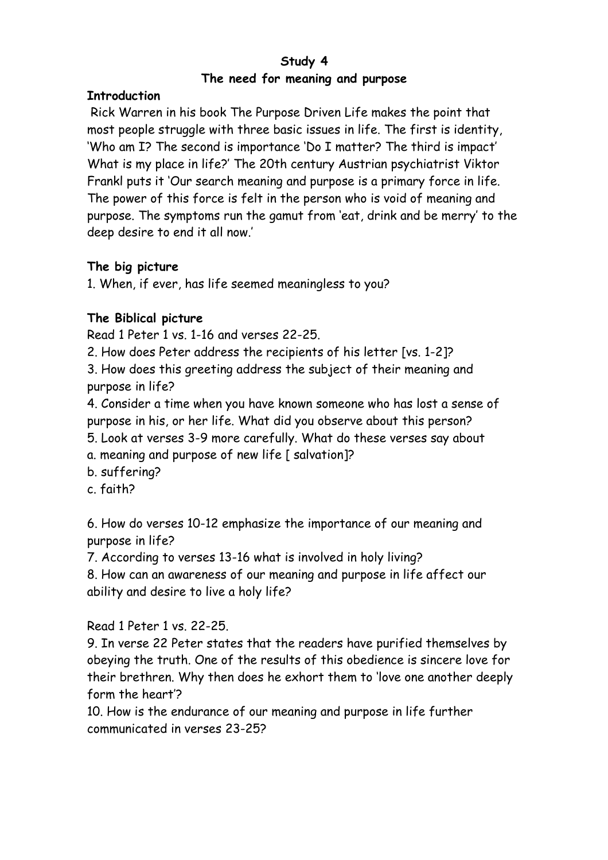# **Study 4 The need for meaning and purpose**

#### **Introduction**

 Rick Warren in his book The Purpose Driven Life makes the point that most people struggle with three basic issues in life. The first is identity, 'Who am I? The second is importance 'Do I matter? The third is impact' What is my place in life?' The 20th century Austrian psychiatrist Viktor Frankl puts it 'Our search meaning and purpose is a primary force in life. The power of this force is felt in the person who is void of meaning and purpose. The symptoms run the gamut from 'eat, drink and be merry' to the deep desire to end it all now.'

### **The big picture**

1. When, if ever, has life seemed meaningless to you?

# **The Biblical picture**

Read 1 Peter 1 vs. 1-16 and verses 22-25.

2. How does Peter address the recipients of his letter [vs. 1-2]?

3. How does this greeting address the subject of their meaning and purpose in life?

4. Consider a time when you have known someone who has lost a sense of purpose in his, or her life. What did you observe about this person?

- 5. Look at verses 3-9 more carefully. What do these verses say about
- a. meaning and purpose of new life [ salvation]?
- b. suffering?
- c. faith?

6. How do verses 10-12 emphasize the importance of our meaning and purpose in life?

7. According to verses 13-16 what is involved in holy living?

8. How can an awareness of our meaning and purpose in life affect our ability and desire to live a holy life?

Read 1 Peter 1 vs. 22-25.

9. In verse 22 Peter states that the readers have purified themselves by obeying the truth. One of the results of this obedience is sincere love for their brethren. Why then does he exhort them to 'love one another deeply form the heart'?

10. How is the endurance of our meaning and purpose in life further communicated in verses 23-25?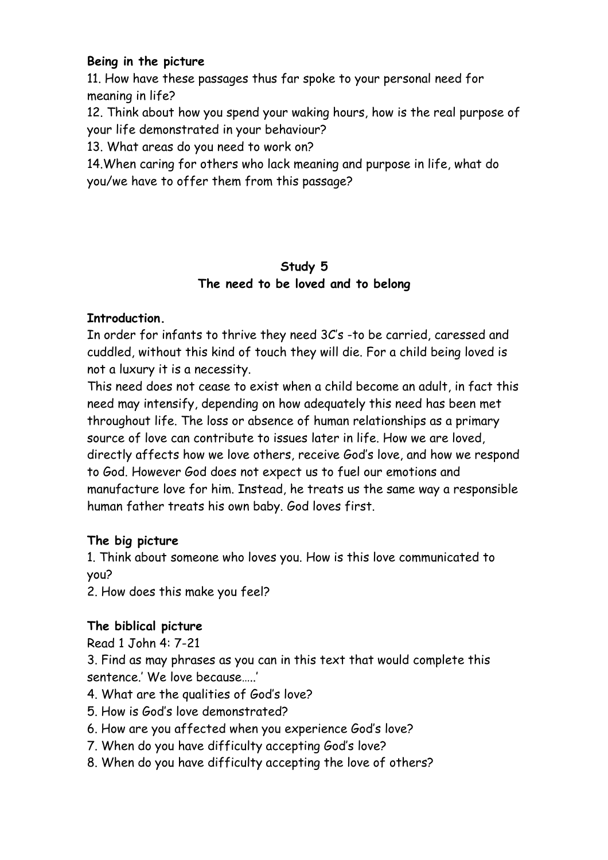### **Being in the picture**

11. How have these passages thus far spoke to your personal need for meaning in life?

12. Think about how you spend your waking hours, how is the real purpose of your life demonstrated in your behaviour?

13. What areas do you need to work on?

14.When caring for others who lack meaning and purpose in life, what do you/we have to offer them from this passage?

### **Study 5 The need to be loved and to belong**

### **Introduction.**

In order for infants to thrive they need 3C's -to be carried, caressed and cuddled, without this kind of touch they will die. For a child being loved is not a luxury it is a necessity.

This need does not cease to exist when a child become an adult, in fact this need may intensify, depending on how adequately this need has been met throughout life. The loss or absence of human relationships as a primary source of love can contribute to issues later in life. How we are loved, directly affects how we love others, receive God's love, and how we respond to God. However God does not expect us to fuel our emotions and manufacture love for him. Instead, he treats us the same way a responsible human father treats his own baby. God loves first.

### **The big picture**

1. Think about someone who loves you. How is this love communicated to you?

2. How does this make you feel?

# **The biblical picture**

Read 1 John 4: 7-21

3. Find as may phrases as you can in this text that would complete this sentence.' We love because…..'

- 4. What are the qualities of God's love?
- 5. How is God's love demonstrated?
- 6. How are you affected when you experience God's love?
- 7. When do you have difficulty accepting God's love?
- 8. When do you have difficulty accepting the love of others?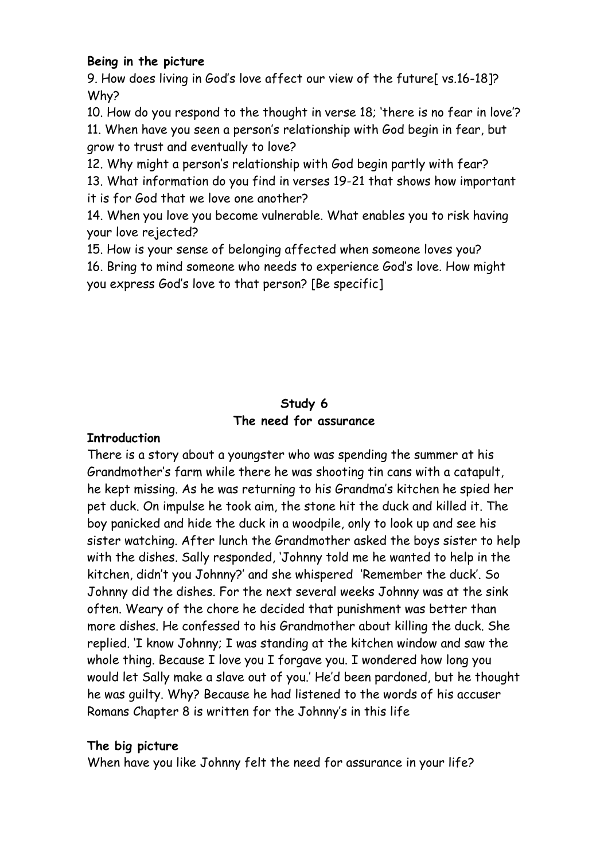#### **Being in the picture**

9. How does living in God's love affect our view of the future[ vs.16-18]? Why?

10. How do you respond to the thought in verse 18; 'there is no fear in love'? 11. When have you seen a person's relationship with God begin in fear, but grow to trust and eventually to love?

12. Why might a person's relationship with God begin partly with fear?

13. What information do you find in verses 19-21 that shows how important it is for God that we love one another?

14. When you love you become vulnerable. What enables you to risk having your love rejected?

15. How is your sense of belonging affected when someone loves you?

16. Bring to mind someone who needs to experience God's love. How might you express God's love to that person? [Be specific]

### **Study 6 The need for assurance**

# **Introduction**

There is a story about a youngster who was spending the summer at his Grandmother's farm while there he was shooting tin cans with a catapult, he kept missing. As he was returning to his Grandma's kitchen he spied her pet duck. On impulse he took aim, the stone hit the duck and killed it. The boy panicked and hide the duck in a woodpile, only to look up and see his sister watching. After lunch the Grandmother asked the boys sister to help with the dishes. Sally responded, 'Johnny told me he wanted to help in the kitchen, didn't you Johnny?' and she whispered 'Remember the duck'. So Johnny did the dishes. For the next several weeks Johnny was at the sink often. Weary of the chore he decided that punishment was better than more dishes. He confessed to his Grandmother about killing the duck. She replied. 'I know Johnny; I was standing at the kitchen window and saw the whole thing. Because I love you I forgave you. I wondered how long you would let Sally make a slave out of you.' He'd been pardoned, but he thought he was guilty. Why? Because he had listened to the words of his accuser Romans Chapter 8 is written for the Johnny's in this life

### **The big picture**

When have you like Johnny felt the need for assurance in your life?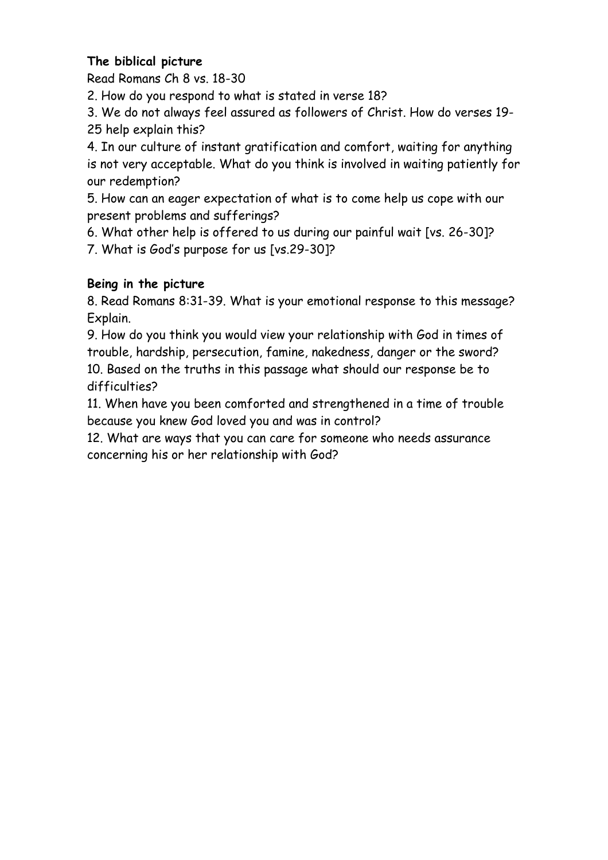# **The biblical picture**

Read Romans Ch 8 vs. 18-30

2. How do you respond to what is stated in verse 18?

3. We do not always feel assured as followers of Christ. How do verses 19- 25 help explain this?

4. In our culture of instant gratification and comfort, waiting for anything is not very acceptable. What do you think is involved in waiting patiently for our redemption?

5. How can an eager expectation of what is to come help us cope with our present problems and sufferings?

6. What other help is offered to us during our painful wait [vs. 26-30]?

7. What is God's purpose for us [vs.29-30]?

# **Being in the picture**

8. Read Romans 8:31-39. What is your emotional response to this message? Explain.

9. How do you think you would view your relationship with God in times of trouble, hardship, persecution, famine, nakedness, danger or the sword? 10. Based on the truths in this passage what should our response be to difficulties?

11. When have you been comforted and strengthened in a time of trouble because you knew God loved you and was in control?

12. What are ways that you can care for someone who needs assurance concerning his or her relationship with God?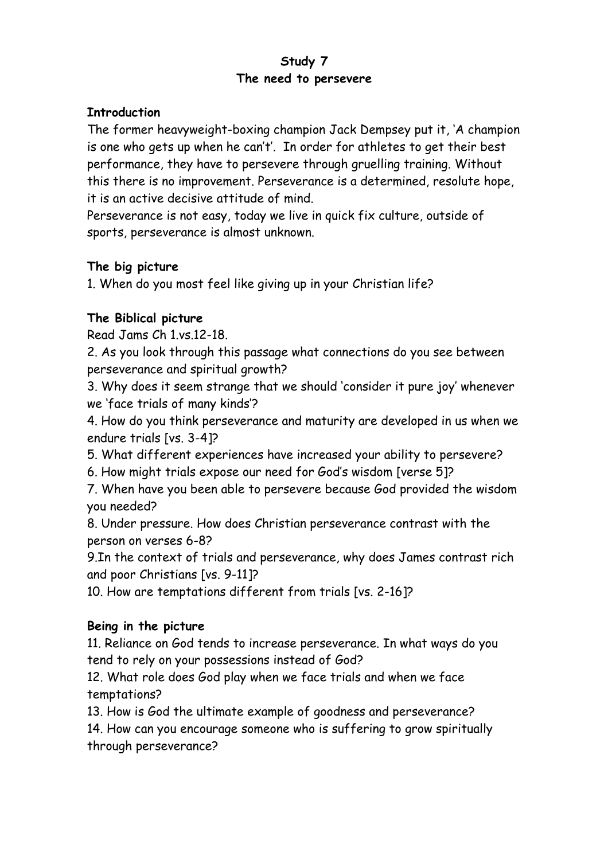### **Study 7 The need to persevere**

### **Introduction**

The former heavyweight-boxing champion Jack Dempsey put it, 'A champion is one who gets up when he can't'. In order for athletes to get their best performance, they have to persevere through gruelling training. Without this there is no improvement. Perseverance is a determined, resolute hope, it is an active decisive attitude of mind.

Perseverance is not easy, today we live in quick fix culture, outside of sports, perseverance is almost unknown.

### **The big picture**

1. When do you most feel like giving up in your Christian life?

# **The Biblical picture**

Read Jams Ch 1.vs.12-18.

2. As you look through this passage what connections do you see between perseverance and spiritual growth?

3. Why does it seem strange that we should 'consider it pure joy' whenever we 'face trials of many kinds'?

4. How do you think perseverance and maturity are developed in us when we endure trials [vs. 3-4]?

5. What different experiences have increased your ability to persevere?

6. How might trials expose our need for God's wisdom [verse 5]?

7. When have you been able to persevere because God provided the wisdom you needed?

8. Under pressure. How does Christian perseverance contrast with the person on verses 6-8?

9.In the context of trials and perseverance, why does James contrast rich and poor Christians [vs. 9-11]?

10. How are temptations different from trials [vs. 2-16]?

### **Being in the picture**

11. Reliance on God tends to increase perseverance. In what ways do you tend to rely on your possessions instead of God?

12. What role does God play when we face trials and when we face temptations?

13. How is God the ultimate example of goodness and perseverance?

14. How can you encourage someone who is suffering to grow spiritually through perseverance?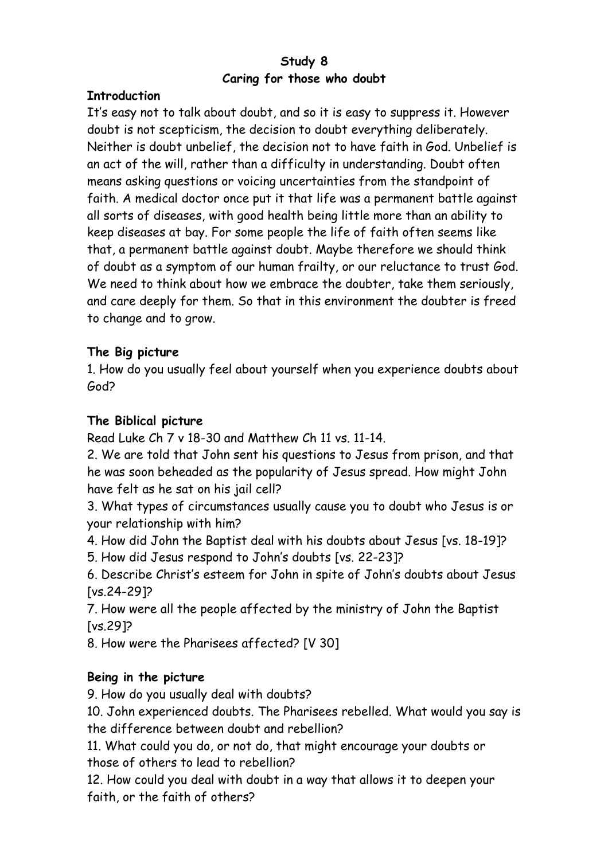### **Study 8 Caring for those who doubt**

#### **Introduction**

It's easy not to talk about doubt, and so it is easy to suppress it. However doubt is not scepticism, the decision to doubt everything deliberately. Neither is doubt unbelief, the decision not to have faith in God. Unbelief is an act of the will, rather than a difficulty in understanding. Doubt often means asking questions or voicing uncertainties from the standpoint of faith. A medical doctor once put it that life was a permanent battle against all sorts of diseases, with good health being little more than an ability to keep diseases at bay. For some people the life of faith often seems like that, a permanent battle against doubt. Maybe therefore we should think of doubt as a symptom of our human frailty, or our reluctance to trust God. We need to think about how we embrace the doubter, take them seriously, and care deeply for them. So that in this environment the doubter is freed to change and to grow.

### **The Big picture**

1. How do you usually feel about yourself when you experience doubts about God?

#### **The Biblical picture**

Read Luke Ch 7 v 18-30 and Matthew Ch 11 vs. 11-14.

2. We are told that John sent his questions to Jesus from prison, and that he was soon beheaded as the popularity of Jesus spread. How might John have felt as he sat on his jail cell?

3. What types of circumstances usually cause you to doubt who Jesus is or your relationship with him?

4. How did John the Baptist deal with his doubts about Jesus [vs. 18-19]?

5. How did Jesus respond to John's doubts [vs. 22-23]?

6. Describe Christ's esteem for John in spite of John's doubts about Jesus [vs.24-29]?

7. How were all the people affected by the ministry of John the Baptist [vs.29]?

8. How were the Pharisees affected? [V 30]

### **Being in the picture**

9. How do you usually deal with doubts?

10. John experienced doubts. The Pharisees rebelled. What would you say is the difference between doubt and rebellion?

11. What could you do, or not do, that might encourage your doubts or those of others to lead to rebellion?

12. How could you deal with doubt in a way that allows it to deepen your faith, or the faith of others?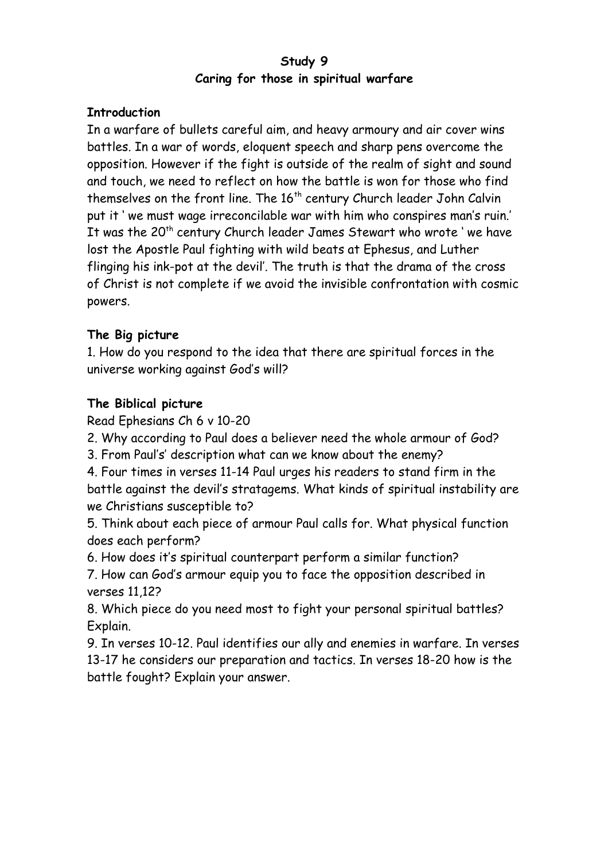### **Study 9 Caring for those in spiritual warfare**

### **Introduction**

In a warfare of bullets careful aim, and heavy armoury and air cover wins battles. In a war of words, eloquent speech and sharp pens overcome the opposition. However if the fight is outside of the realm of sight and sound and touch, we need to reflect on how the battle is won for those who find themselves on the front line. The  $16<sup>th</sup>$  century Church leader John Calvin put it ' we must wage irreconcilable war with him who conspires man's ruin.' It was the 20<sup>th</sup> century Church leader James Stewart who wrote 'we have lost the Apostle Paul fighting with wild beats at Ephesus, and Luther flinging his ink-pot at the devil'. The truth is that the drama of the cross of Christ is not complete if we avoid the invisible confrontation with cosmic powers.

# **The Big picture**

1. How do you respond to the idea that there are spiritual forces in the universe working against God's will?

# **The Biblical picture**

Read Ephesians Ch 6 v 10-20

2. Why according to Paul does a believer need the whole armour of God?

3. From Paul's' description what can we know about the enemy?

4. Four times in verses 11-14 Paul urges his readers to stand firm in the battle against the devil's stratagems. What kinds of spiritual instability are we Christians susceptible to?

5. Think about each piece of armour Paul calls for. What physical function does each perform?

6. How does it's spiritual counterpart perform a similar function?

7. How can God's armour equip you to face the opposition described in verses 11,12?

8. Which piece do you need most to fight your personal spiritual battles? Explain.

9. In verses 10-12. Paul identifies our ally and enemies in warfare. In verses 13-17 he considers our preparation and tactics. In verses 18-20 how is the battle fought? Explain your answer.